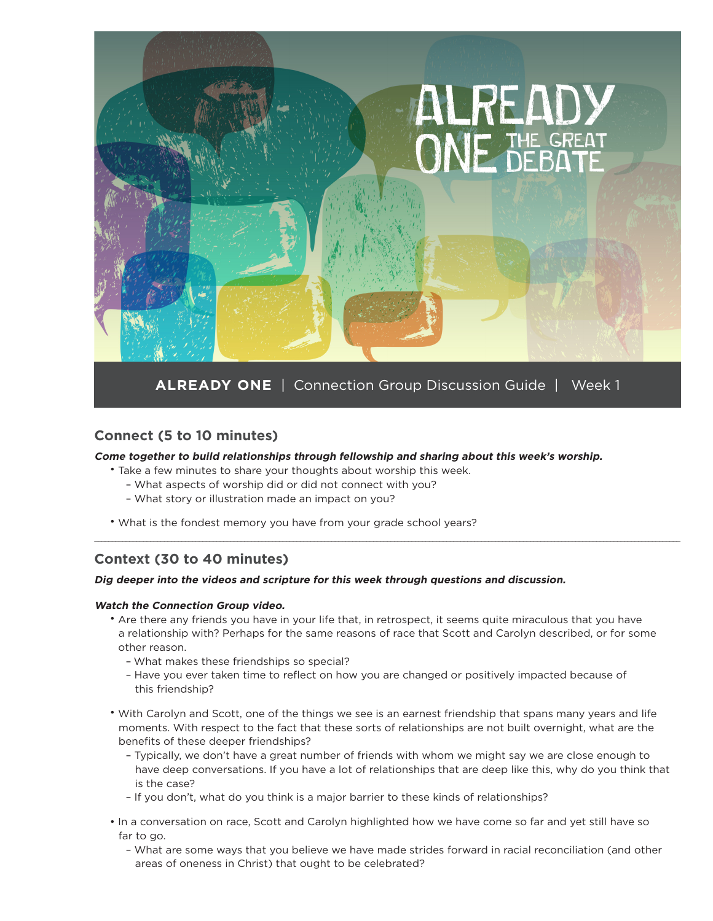

### **Connect (5 to 10 minutes)**

#### **Come together to build relationships through fellowship and sharing about this week's worship.**

- Take a few minutes to share your thoughts about worship this week.
	- What aspects of worship did or did not connect with you?
	- What story or illustration made an impact on you?
- What is the fondest memory you have from your grade school years?

## **Context (30 to 40 minutes)**

#### **Dig deeper into the videos and scripture for this week through questions and discussion.**

#### **Watch the Connection Group video.**

• Are there any friends you have in your life that, in retrospect, it seems quite miraculous that you have a relationship with? Perhaps for the same reasons of race that Scott and Carolyn described, or for some other reason.

\_\_\_\_\_\_\_\_\_\_\_\_\_\_\_\_\_\_\_\_\_\_\_\_\_\_\_\_\_\_\_\_\_\_\_\_\_\_\_\_\_\_\_\_\_\_\_\_\_\_\_\_\_\_\_\_\_\_\_\_\_\_\_\_\_\_\_\_\_\_\_\_\_\_\_\_\_\_\_\_\_\_\_\_\_\_\_\_\_\_\_\_\_\_\_\_\_\_\_\_\_\_\_\_\_\_\_\_\_\_\_\_\_\_\_\_\_\_\_\_\_\_\_\_\_\_\_\_\_\_\_\_\_\_\_\_\_\_\_\_\_\_\_\_\_\_\_\_\_\_\_\_\_\_\_\_\_\_\_\_\_\_\_\_\_\_\_\_

- What makes these friendships so special?
- Have you ever taken time to reflect on how you are changed or positively impacted because of this friendship?
- With Carolyn and Scott, one of the things we see is an earnest friendship that spans many years and life moments. With respect to the fact that these sorts of relationships are not built overnight, what are the benefits of these deeper friendships?
	- Typically, we don't have a great number of friends with whom we might say we are close enough to have deep conversations. If you have a lot of relationships that are deep like this, why do you think that is the case?
	- If you don't, what do you think is a major barrier to these kinds of relationships?
- In a conversation on race, Scott and Carolyn highlighted how we have come so far and yet still have so far to go.
	- What are some ways that you believe we have made strides forward in racial reconciliation (and other areas of oneness in Christ) that ought to be celebrated?